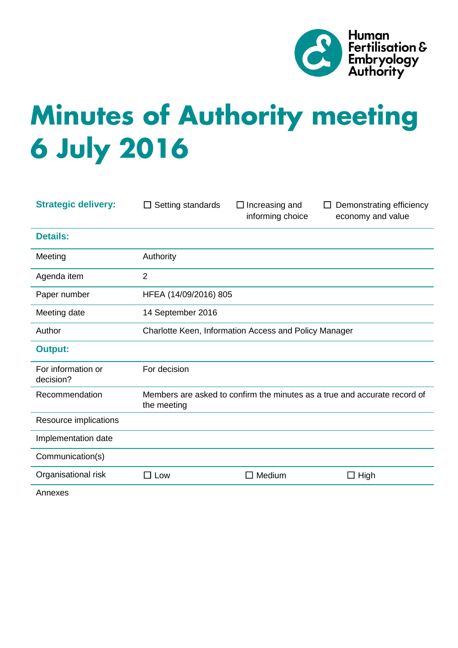

# **Minutes of Authority meeting 6 July 2016**

| <b>Strategic delivery:</b>      | Setting standards<br>$\Box$                                                              | $\Box$ Increasing and<br>informing choice | Demonstrating efficiency<br>economy and value |
|---------------------------------|------------------------------------------------------------------------------------------|-------------------------------------------|-----------------------------------------------|
| <b>Details:</b>                 |                                                                                          |                                           |                                               |
| Meeting                         | Authority                                                                                |                                           |                                               |
| Agenda item                     | $\overline{2}$                                                                           |                                           |                                               |
| Paper number                    | HFEA (14/09/2016) 805                                                                    |                                           |                                               |
| Meeting date                    | 14 September 2016                                                                        |                                           |                                               |
| Author                          | Charlotte Keen, Information Access and Policy Manager                                    |                                           |                                               |
| <b>Output:</b>                  |                                                                                          |                                           |                                               |
| For information or<br>decision? | For decision                                                                             |                                           |                                               |
| Recommendation                  | Members are asked to confirm the minutes as a true and accurate record of<br>the meeting |                                           |                                               |
| Resource implications           |                                                                                          |                                           |                                               |
| Implementation date             |                                                                                          |                                           |                                               |
| Communication(s)                |                                                                                          |                                           |                                               |
| Organisational risk             | $\square$ Low                                                                            | Medium                                    | High                                          |
|                                 |                                                                                          |                                           |                                               |

Annexes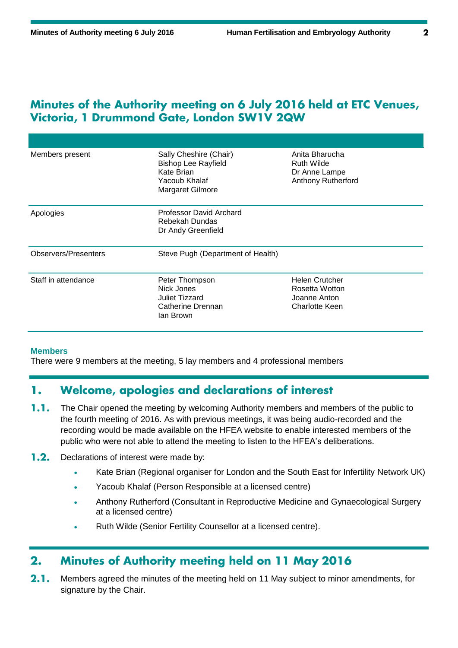## Minutes of the Authority meeting on 6 July 2016 held at ETC Venues, Victoria, 1 Drummond Gate, London SW1V 2QW

| Members present             | Sally Cheshire (Chair)<br><b>Bishop Lee Rayfield</b><br>Kate Brian<br>Yacoub Khalaf<br><b>Margaret Gilmore</b> | Anita Bharucha<br>Ruth Wilde<br>Dr Anne Lampe<br><b>Anthony Rutherford</b> |  |
|-----------------------------|----------------------------------------------------------------------------------------------------------------|----------------------------------------------------------------------------|--|
| Apologies                   | Professor David Archard<br>Rebekah Dundas<br>Dr Andy Greenfield                                                |                                                                            |  |
| <b>Observers/Presenters</b> | Steve Pugh (Department of Health)                                                                              |                                                                            |  |
| Staff in attendance         | Peter Thompson<br>Nick Jones<br>Juliet Tizzard<br>Catherine Drennan<br>lan Brown                               | <b>Helen Crutcher</b><br>Rosetta Wotton<br>Joanne Anton<br>Charlotte Keen  |  |

### **Members**

There were 9 members at the meeting, 5 lay members and 4 professional members

#### Welcome, apologies and declarations of interest 1.

- $1.1.$ The Chair opened the meeting by welcoming Authority members and members of the public to the fourth meeting of 2016. As with previous meetings, it was being audio-recorded and the recording would be made available on the HFEA website to enable interested members of the public who were not able to attend the meeting to listen to the HFEA's deliberations.
- $1.2.$ Declarations of interest were made by:
	- Kate Brian (Regional organiser for London and the South East for Infertility Network UK)
	- Yacoub Khalaf (Person Responsible at a licensed centre)
	- Anthony Rutherford (Consultant in Reproductive Medicine and Gynaecological Surgery at a licensed centre)
	- Ruth Wilde (Senior Fertility Counsellor at a licensed centre).

#### Minutes of Authority meeting held on 11 May 2016  $2.$

 $2.1.$ Members agreed the minutes of the meeting held on 11 May subject to minor amendments, for signature by the Chair.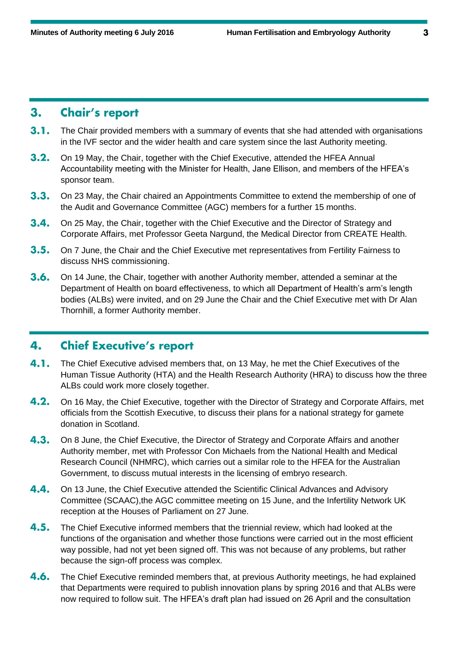#### **Chair's report**  $3.$

- $3.1.$ The Chair provided members with a summary of events that she had attended with organisations in the IVF sector and the wider health and care system since the last Authority meeting.
- $3.2.$ On 19 May, the Chair, together with the Chief Executive, attended the HFEA Annual Accountability meeting with the Minister for Health, Jane Ellison, and members of the HFEA's sponsor team.
- $3.3.$ On 23 May, the Chair chaired an Appointments Committee to extend the membership of one of the Audit and Governance Committee (AGC) members for a further 15 months.
- $3.4.$ On 25 May, the Chair, together with the Chief Executive and the Director of Strategy and Corporate Affairs, met Professor Geeta Nargund, the Medical Director from CREATE Health.
- $3.5.$ On 7 June, the Chair and the Chief Executive met representatives from Fertility Fairness to discuss NHS commissioning.
- $3.6.$ On 14 June, the Chair, together with another Authority member, attended a seminar at the Department of Health on board effectiveness, to which all Department of Health's arm's length bodies (ALBs) were invited, and on 29 June the Chair and the Chief Executive met with Dr Alan Thornhill, a former Authority member.

#### **Chief Executive's report** 4.

- $4.1.$ The Chief Executive advised members that, on 13 May, he met the Chief Executives of the Human Tissue Authority (HTA) and the Health Research Authority (HRA) to discuss how the three ALBs could work more closely together.
- $4.2.$ On 16 May, the Chief Executive, together with the Director of Strategy and Corporate Affairs, met officials from the Scottish Executive, to discuss their plans for a national strategy for gamete donation in Scotland.
- $4.3.$ On 8 June, the Chief Executive, the Director of Strategy and Corporate Affairs and another Authority member, met with Professor Con Michaels from the National Health and Medical Research Council (NHMRC), which carries out a similar role to the HFEA for the Australian Government, to discuss mutual interests in the licensing of embryo research.
- 4.4. On 13 June, the Chief Executive attended the Scientific Clinical Advances and Advisory Committee (SCAAC),the AGC committee meeting on 15 June, and the Infertility Network UK reception at the Houses of Parliament on 27 June.
- $4.5.$ The Chief Executive informed members that the triennial review, which had looked at the functions of the organisation and whether those functions were carried out in the most efficient way possible, had not yet been signed off. This was not because of any problems, but rather because the sign-off process was complex.
- $4.6.$ The Chief Executive reminded members that, at previous Authority meetings, he had explained that Departments were required to publish innovation plans by spring 2016 and that ALBs were now required to follow suit. The HFEA's draft plan had issued on 26 April and the consultation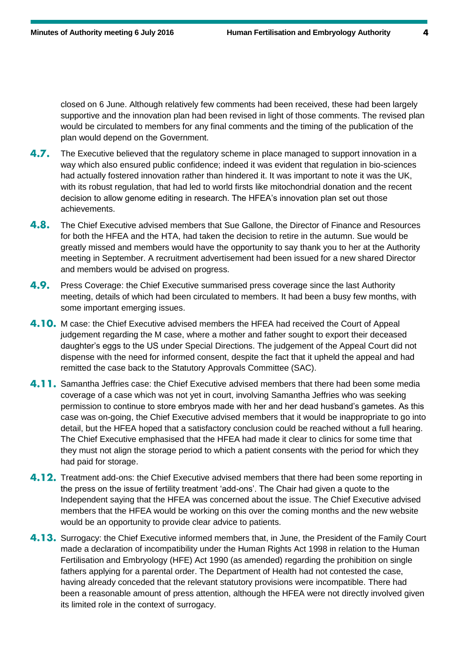closed on 6 June. Although relatively few comments had been received, these had been largely supportive and the innovation plan had been revised in light of those comments. The revised plan would be circulated to members for any final comments and the timing of the publication of the plan would depend on the Government.

- $4.7.$ The Executive believed that the regulatory scheme in place managed to support innovation in a way which also ensured public confidence; indeed it was evident that regulation in bio-sciences had actually fostered innovation rather than hindered it. It was important to note it was the UK, with its robust regulation, that had led to world firsts like mitochondrial donation and the recent decision to allow genome editing in research. The HFEA's innovation plan set out those achievements.
- $4.8.$ The Chief Executive advised members that Sue Gallone, the Director of Finance and Resources for both the HFEA and the HTA, had taken the decision to retire in the autumn. Sue would be greatly missed and members would have the opportunity to say thank you to her at the Authority meeting in September. A recruitment advertisement had been issued for a new shared Director and members would be advised on progress.
- 4.9. Press Coverage: the Chief Executive summarised press coverage since the last Authority meeting, details of which had been circulated to members. It had been a busy few months, with some important emerging issues.
- 4.10. M case: the Chief Executive advised members the HFEA had received the Court of Appeal judgement regarding the M case, where a mother and father sought to export their deceased daughter's eggs to the US under Special Directions. The judgement of the Appeal Court did not dispense with the need for informed consent, despite the fact that it upheld the appeal and had remitted the case back to the Statutory Approvals Committee (SAC).
- 4.11. Samantha Jeffries case: the Chief Executive advised members that there had been some media coverage of a case which was not yet in court, involving Samantha Jeffries who was seeking permission to continue to store embryos made with her and her dead husband's gametes. As this case was on-going, the Chief Executive advised members that it would be inappropriate to go into detail, but the HFEA hoped that a satisfactory conclusion could be reached without a full hearing. The Chief Executive emphasised that the HFEA had made it clear to clinics for some time that they must not align the storage period to which a patient consents with the period for which they had paid for storage.
- 4.12. Treatment add-ons: the Chief Executive advised members that there had been some reporting in the press on the issue of fertility treatment 'add-ons'. The Chair had given a quote to the Independent saying that the HFEA was concerned about the issue. The Chief Executive advised members that the HFEA would be working on this over the coming months and the new website would be an opportunity to provide clear advice to patients.
- **4.13.** Surrogacy: the Chief Executive informed members that, in June, the President of the Family Court made a declaration of incompatibility under the Human Rights Act 1998 in relation to the Human Fertilisation and Embryology (HFE) Act 1990 (as amended) regarding the prohibition on single fathers applying for a parental order. The Department of Health had not contested the case, having already conceded that the relevant statutory provisions were incompatible. There had been a reasonable amount of press attention, although the HFEA were not directly involved given its limited role in the context of surrogacy.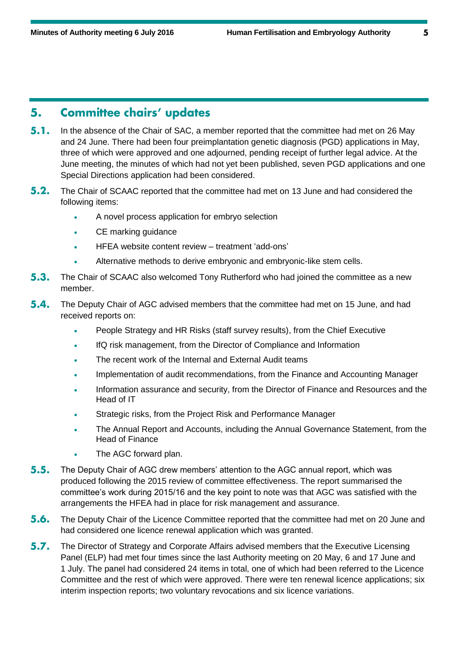#### **Committee chairs' updates** 5.

- $5.1.$ In the absence of the Chair of SAC, a member reported that the committee had met on 26 May and 24 June. There had been four preimplantation genetic diagnosis (PGD) applications in May, three of which were approved and one adjourned, pending receipt of further legal advice. At the June meeting, the minutes of which had not yet been published, seven PGD applications and one Special Directions application had been considered.
- $5.2.$ The Chair of SCAAC reported that the committee had met on 13 June and had considered the following items:
	- A novel process application for embryo selection
	- CE marking guidance
	- HFEA website content review treatment 'add-ons'
	- Alternative methods to derive embryonic and embryonic-like stem cells.
- $5.3.$ The Chair of SCAAC also welcomed Tony Rutherford who had joined the committee as a new member.
- $5.4.$ The Deputy Chair of AGC advised members that the committee had met on 15 June, and had received reports on:
	- People Strategy and HR Risks (staff survey results), from the Chief Executive
	- IfQ risk management, from the Director of Compliance and Information
	- The recent work of the Internal and External Audit teams
	- Implementation of audit recommendations, from the Finance and Accounting Manager
	- Information assurance and security, from the Director of Finance and Resources and the Head of IT
	- Strategic risks, from the Project Risk and Performance Manager
	- The Annual Report and Accounts, including the Annual Governance Statement, from the Head of Finance
	- The AGC forward plan.
- $5.5.$ The Deputy Chair of AGC drew members' attention to the AGC annual report, which was produced following the 2015 review of committee effectiveness. The report summarised the committee's work during 2015/16 and the key point to note was that AGC was satisfied with the arrangements the HFEA had in place for risk management and assurance.
- $5.6.$ The Deputy Chair of the Licence Committee reported that the committee had met on 20 June and had considered one licence renewal application which was granted.
- $5.7.$ The Director of Strategy and Corporate Affairs advised members that the Executive Licensing Panel (ELP) had met four times since the last Authority meeting on 20 May, 6 and 17 June and 1 July. The panel had considered 24 items in total, one of which had been referred to the Licence Committee and the rest of which were approved. There were ten renewal licence applications; six interim inspection reports; two voluntary revocations and six licence variations.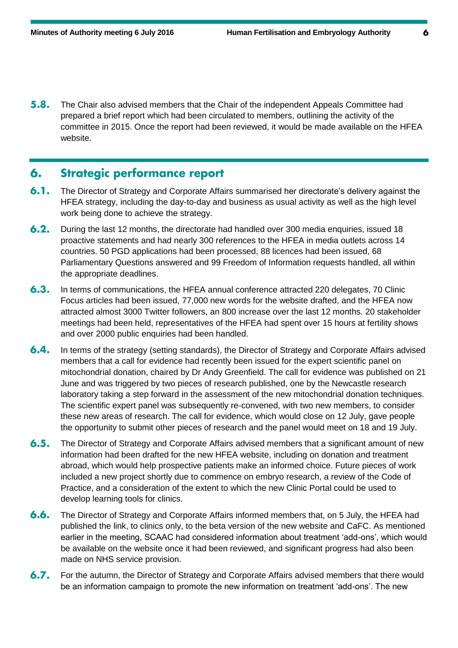$5.8.$ The Chair also advised members that the Chair of the independent Appeals Committee had prepared a brief report which had been circulated to members, outlining the activity of the committee in 2015. Once the report had been reviewed, it would be made available on the HFEA website.

#### **Strategic performance report** 6.

- $6.1.$ The Director of Strategy and Corporate Affairs summarised her directorate's delivery against the HFEA strategy, including the day-to-day and business as usual activity as well as the high level work being done to achieve the strategy.
- $6.2.$ During the last 12 months, the directorate had handled over 300 media enquiries, issued 18 proactive statements and had nearly 300 references to the HFEA in media outlets across 14 countries. 50 PGD applications had been processed, 88 licences had been issued, 68 Parliamentary Questions answered and 99 Freedom of Information requests handled, all within the appropriate deadlines.
- $6.3.$ In terms of communications, the HFEA annual conference attracted 220 delegates, 70 Clinic Focus articles had been issued, 77,000 new words for the website drafted, and the HFEA now attracted almost 3000 Twitter followers, an 800 increase over the last 12 months. 20 stakeholder meetings had been held, representatives of the HFEA had spent over 15 hours at fertility shows and over 2000 public enquiries had been handled.
- $6.4.$ In terms of the strategy (setting standards), the Director of Strategy and Corporate Affairs advised members that a call for evidence had recently been issued for the expert scientific panel on mitochondrial donation, chaired by Dr Andy Greenfield. The call for evidence was published on 21 June and was triggered by two pieces of research published, one by the Newcastle research laboratory taking a step forward in the assessment of the new mitochondrial donation techniques. The scientific expert panel was subsequently re-convened, with two new members, to consider these new areas of research. The call for evidence, which would close on 12 July, gave people the opportunity to submit other pieces of research and the panel would meet on 18 and 19 July.
- $6.5.$ The Director of Strategy and Corporate Affairs advised members that a significant amount of new information had been drafted for the new HFEA website, including on donation and treatment abroad, which would help prospective patients make an informed choice. Future pieces of work included a new project shortly due to commence on embryo research, a review of the Code of Practice, and a consideration of the extent to which the new Clinic Portal could be used to develop learning tools for clinics.
- $6.6.$ The Director of Strategy and Corporate Affairs informed members that, on 5 July, the HFEA had published the link, to clinics only, to the beta version of the new website and CaFC. As mentioned earlier in the meeting, SCAAC had considered information about treatment 'add-ons', which would be available on the website once it had been reviewed, and significant progress had also been made on NHS service provision.
- $6.7.$ For the autumn, the Director of Strategy and Corporate Affairs advised members that there would be an information campaign to promote the new information on treatment 'add-ons'. The new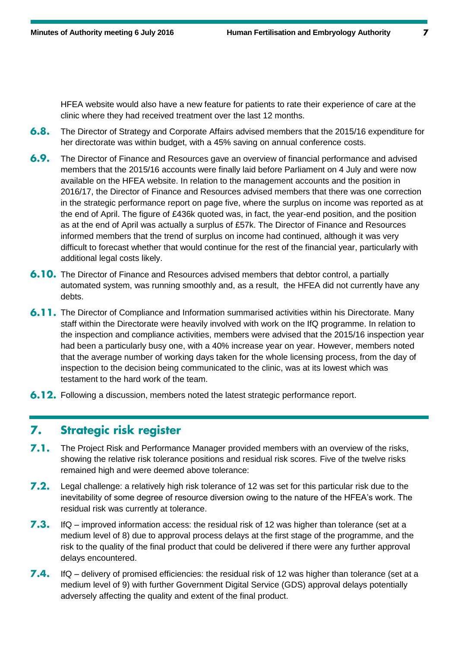HFEA website would also have a new feature for patients to rate their experience of care at the clinic where they had received treatment over the last 12 months.

- $6.8.$ The Director of Strategy and Corporate Affairs advised members that the 2015/16 expenditure for her directorate was within budget, with a 45% saving on annual conference costs.
- $6.9.$ The Director of Finance and Resources gave an overview of financial performance and advised members that the 2015/16 accounts were finally laid before Parliament on 4 July and were now available on the HFEA website. In relation to the management accounts and the position in 2016/17, the Director of Finance and Resources advised members that there was one correction in the strategic performance report on page five, where the surplus on income was reported as at the end of April. The figure of £436k quoted was, in fact, the year-end position, and the position as at the end of April was actually a surplus of £57k. The Director of Finance and Resources informed members that the trend of surplus on income had continued, although it was very difficult to forecast whether that would continue for the rest of the financial year, particularly with additional legal costs likely.
- **6.10.** The Director of Finance and Resources advised members that debtor control, a partially automated system, was running smoothly and, as a result, the HFEA did not currently have any debts.
- **6.11.** The Director of Compliance and Information summarised activities within his Directorate. Many staff within the Directorate were heavily involved with work on the IfQ programme. In relation to the inspection and compliance activities, members were advised that the 2015/16 inspection year had been a particularly busy one, with a 40% increase year on year. However, members noted that the average number of working days taken for the whole licensing process, from the day of inspection to the decision being communicated to the clinic, was at its lowest which was testament to the hard work of the team.
- **6.12.** Following a discussion, members noted the latest strategic performance report.

#### **Strategic risk register** 7.

- $7.1.$ The Project Risk and Performance Manager provided members with an overview of the risks, showing the relative risk tolerance positions and residual risk scores. Five of the twelve risks remained high and were deemed above tolerance:
- $7.2.$ Legal challenge: a relatively high risk tolerance of 12 was set for this particular risk due to the inevitability of some degree of resource diversion owing to the nature of the HFEA's work. The residual risk was currently at tolerance.
- $7.3.$ IfQ – improved information access: the residual risk of 12 was higher than tolerance (set at a medium level of 8) due to approval process delays at the first stage of the programme, and the risk to the quality of the final product that could be delivered if there were any further approval delays encountered.
- $7.4.$ IfQ – delivery of promised efficiencies: the residual risk of 12 was higher than tolerance (set at a medium level of 9) with further Government Digital Service (GDS) approval delays potentially adversely affecting the quality and extent of the final product.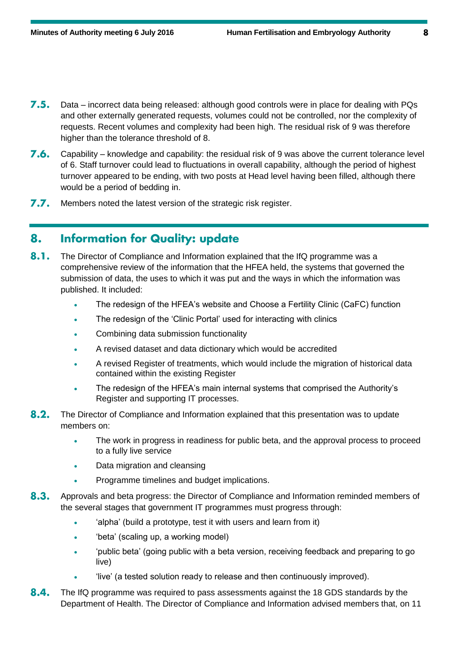- 7.5. Data – incorrect data being released: although good controls were in place for dealing with PQs and other externally generated requests, volumes could not be controlled, nor the complexity of requests. Recent volumes and complexity had been high. The residual risk of 9 was therefore higher than the tolerance threshold of 8.
- 7.6. Capability – knowledge and capability: the residual risk of 9 was above the current tolerance level of 6. Staff turnover could lead to fluctuations in overall capability, although the period of highest turnover appeared to be ending, with two posts at Head level having been filled, although there would be a period of bedding in.
- $7.7.$ Members noted the latest version of the strategic risk register.

#### **Information for Quality: update** 8.

- $8.1.$ The Director of Compliance and Information explained that the IfQ programme was a comprehensive review of the information that the HFEA held, the systems that governed the submission of data, the uses to which it was put and the ways in which the information was published. It included:
	- The redesign of the HFEA's website and Choose a Fertility Clinic (CaFC) function
	- The redesign of the 'Clinic Portal' used for interacting with clinics
	- Combining data submission functionality
	- A revised dataset and data dictionary which would be accredited
	- A revised Register of treatments, which would include the migration of historical data contained within the existing Register
	- The redesign of the HFEA's main internal systems that comprised the Authority's Register and supporting IT processes.
- $8.2.$ The Director of Compliance and Information explained that this presentation was to update members on:
	- The work in progress in readiness for public beta, and the approval process to proceed to a fully live service
	- Data migration and cleansing
	- Programme timelines and budget implications.
- $8.3.$ Approvals and beta progress: the Director of Compliance and Information reminded members of the several stages that government IT programmes must progress through:
	- 'alpha' (build a prototype, test it with users and learn from it)
	- 'beta' (scaling up, a working model)
	- 'public beta' (going public with a beta version, receiving feedback and preparing to go live)
	- 'live' (a tested solution ready to release and then continuously improved).
- $8.4.$ The IfQ programme was required to pass assessments against the 18 GDS standards by the Department of Health. The Director of Compliance and Information advised members that, on 11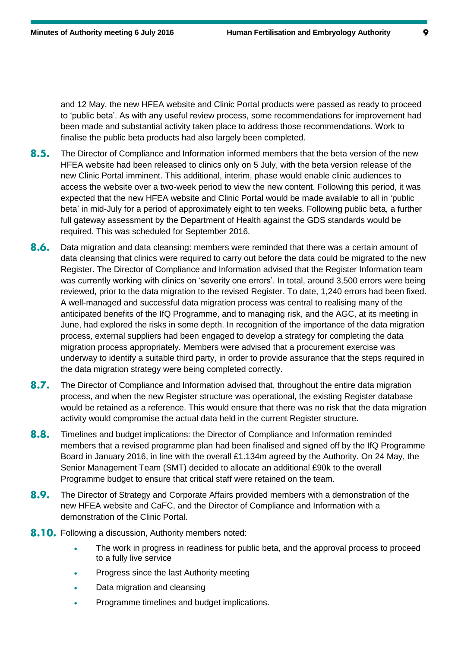and 12 May, the new HFEA website and Clinic Portal products were passed as ready to proceed to 'public beta'. As with any useful review process, some recommendations for improvement had been made and substantial activity taken place to address those recommendations. Work to finalise the public beta products had also largely been completed.

- $8.5.$ The Director of Compliance and Information informed members that the beta version of the new HFEA website had been released to clinics only on 5 July, with the beta version release of the new Clinic Portal imminent. This additional, interim, phase would enable clinic audiences to access the website over a two-week period to view the new content. Following this period, it was expected that the new HFEA website and Clinic Portal would be made available to all in 'public beta' in mid-July for a period of approximately eight to ten weeks. Following public beta, a further full gateway assessment by the Department of Health against the GDS standards would be required. This was scheduled for September 2016.
- $8.6.$ Data migration and data cleansing: members were reminded that there was a certain amount of data cleansing that clinics were required to carry out before the data could be migrated to the new Register. The Director of Compliance and Information advised that the Register Information team was currently working with clinics on 'severity one errors'. In total, around 3,500 errors were being reviewed, prior to the data migration to the revised Register. To date, 1,240 errors had been fixed. A well-managed and successful data migration process was central to realising many of the anticipated benefits of the IfQ Programme, and to managing risk, and the AGC, at its meeting in June, had explored the risks in some depth. In recognition of the importance of the data migration process, external suppliers had been engaged to develop a strategy for completing the data migration process appropriately. Members were advised that a procurement exercise was underway to identify a suitable third party, in order to provide assurance that the steps required in the data migration strategy were being completed correctly.
- $8.7.$ The Director of Compliance and Information advised that, throughout the entire data migration process, and when the new Register structure was operational, the existing Register database would be retained as a reference. This would ensure that there was no risk that the data migration activity would compromise the actual data held in the current Register structure.
- 8.8. Timelines and budget implications: the Director of Compliance and Information reminded members that a revised programme plan had been finalised and signed off by the IfQ Programme Board in January 2016, in line with the overall £1.134m agreed by the Authority. On 24 May, the Senior Management Team (SMT) decided to allocate an additional £90k to the overall Programme budget to ensure that critical staff were retained on the team.
- $8.9.$ The Director of Strategy and Corporate Affairs provided members with a demonstration of the new HFEA website and CaFC, and the Director of Compliance and Information with a demonstration of the Clinic Portal.
- **8.10.** Following a discussion, Authority members noted:
	- The work in progress in readiness for public beta, and the approval process to proceed to a fully live service
	- Progress since the last Authority meeting
	- Data migration and cleansing
	- Programme timelines and budget implications.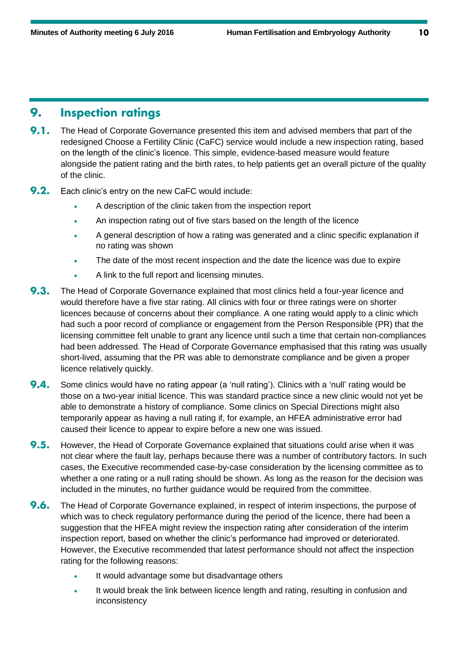#### **Inspection ratings** 9.

- $9.1.$ The Head of Corporate Governance presented this item and advised members that part of the redesigned Choose a Fertility Clinic (CaFC) service would include a new inspection rating, based on the length of the clinic's licence. This simple, evidence-based measure would feature alongside the patient rating and the birth rates, to help patients get an overall picture of the quality of the clinic.
- $9.2.$ Each clinic's entry on the new CaFC would include:
	- A description of the clinic taken from the inspection report
	- An inspection rating out of five stars based on the length of the licence
	- A general description of how a rating was generated and a clinic specific explanation if no rating was shown
	- The date of the most recent inspection and the date the licence was due to expire
	- A link to the full report and licensing minutes.
- $9.3.$ The Head of Corporate Governance explained that most clinics held a four-year licence and would therefore have a five star rating. All clinics with four or three ratings were on shorter licences because of concerns about their compliance. A one rating would apply to a clinic which had such a poor record of compliance or engagement from the Person Responsible (PR) that the licensing committee felt unable to grant any licence until such a time that certain non-compliances had been addressed. The Head of Corporate Governance emphasised that this rating was usually short-lived, assuming that the PR was able to demonstrate compliance and be given a proper licence relatively quickly.
- $9.4.$ Some clinics would have no rating appear (a 'null rating'). Clinics with a 'null' rating would be those on a two-year initial licence. This was standard practice since a new clinic would not yet be able to demonstrate a history of compliance. Some clinics on Special Directions might also temporarily appear as having a null rating if, for example, an HFEA administrative error had caused their licence to appear to expire before a new one was issued.
- $9.5.$ However, the Head of Corporate Governance explained that situations could arise when it was not clear where the fault lay, perhaps because there was a number of contributory factors. In such cases, the Executive recommended case-by-case consideration by the licensing committee as to whether a one rating or a null rating should be shown. As long as the reason for the decision was included in the minutes, no further guidance would be required from the committee.
- $9.6.$ The Head of Corporate Governance explained, in respect of interim inspections, the purpose of which was to check regulatory performance during the period of the licence, there had been a suggestion that the HFEA might review the inspection rating after consideration of the interim inspection report, based on whether the clinic's performance had improved or deteriorated. However, the Executive recommended that latest performance should not affect the inspection rating for the following reasons:
	- It would advantage some but disadvantage others
	- It would break the link between licence length and rating, resulting in confusion and inconsistency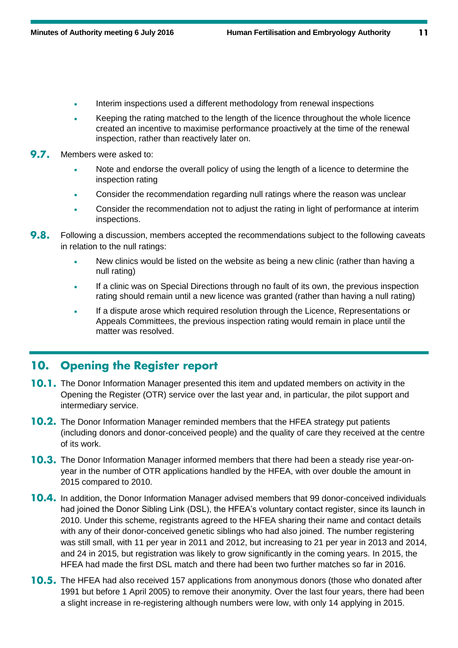- Interim inspections used a different methodology from renewal inspections
- Keeping the rating matched to the length of the licence throughout the whole licence created an incentive to maximise performance proactively at the time of the renewal inspection, rather than reactively later on.
- 9.7. Members were asked to:
	- Note and endorse the overall policy of using the length of a licence to determine the inspection rating
	- Consider the recommendation regarding null ratings where the reason was unclear
	- Consider the recommendation not to adjust the rating in light of performance at interim inspections.
- $9.8.$ Following a discussion, members accepted the recommendations subject to the following caveats in relation to the null ratings:
	- New clinics would be listed on the website as being a new clinic (rather than having a null rating)
	- If a clinic was on Special Directions through no fault of its own, the previous inspection rating should remain until a new licence was granted (rather than having a null rating)
	- If a dispute arose which required resolution through the Licence, Representations or Appeals Committees, the previous inspection rating would remain in place until the matter was resolved.

#### **Opening the Register report** 10.

- **10.1.** The Donor Information Manager presented this item and updated members on activity in the Opening the Register (OTR) service over the last year and, in particular, the pilot support and intermediary service.
- **10.2.** The Donor Information Manager reminded members that the HFEA strategy put patients (including donors and donor-conceived people) and the quality of care they received at the centre of its work.
- **10.3.** The Donor Information Manager informed members that there had been a steady rise year-onyear in the number of OTR applications handled by the HFEA, with over double the amount in 2015 compared to 2010.
- 10.4. In addition, the Donor Information Manager advised members that 99 donor-conceived individuals had joined the Donor Sibling Link (DSL), the HFEA's voluntary contact register, since its launch in 2010. Under this scheme, registrants agreed to the HFEA sharing their name and contact details with any of their donor-conceived genetic siblings who had also joined. The number registering was still small, with 11 per year in 2011 and 2012, but increasing to 21 per year in 2013 and 2014, and 24 in 2015, but registration was likely to grow significantly in the coming years. In 2015, the HFEA had made the first DSL match and there had been two further matches so far in 2016.
- **10.5.** The HFEA had also received 157 applications from anonymous donors (those who donated after 1991 but before 1 April 2005) to remove their anonymity. Over the last four years, there had been a slight increase in re-registering although numbers were low, with only 14 applying in 2015.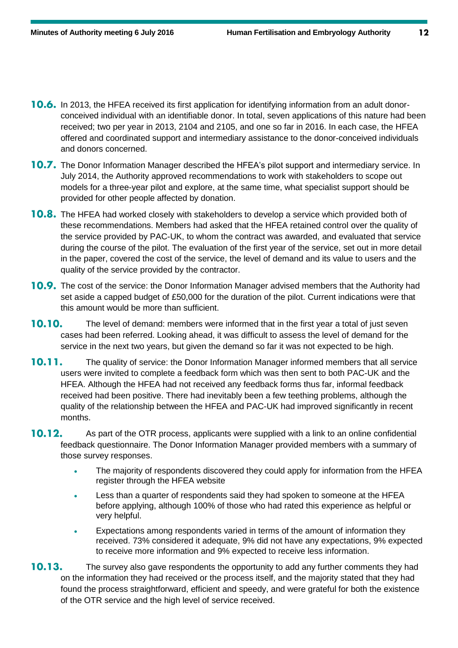- **10.6.** In 2013, the HFEA received its first application for identifying information from an adult donorconceived individual with an identifiable donor. In total, seven applications of this nature had been received; two per year in 2013, 2104 and 2105, and one so far in 2016. In each case, the HFEA offered and coordinated support and intermediary assistance to the donor-conceived individuals and donors concerned.
- **10.7.** The Donor Information Manager described the HFEA's pilot support and intermediary service. In July 2014, the Authority approved recommendations to work with stakeholders to scope out models for a three-year pilot and explore, at the same time, what specialist support should be provided for other people affected by donation.
- **10.8.** The HFEA had worked closely with stakeholders to develop a service which provided both of these recommendations. Members had asked that the HFEA retained control over the quality of the service provided by PAC-UK, to whom the contract was awarded, and evaluated that service during the course of the pilot. The evaluation of the first year of the service, set out in more detail in the paper, covered the cost of the service, the level of demand and its value to users and the quality of the service provided by the contractor.
- **10.9.** The cost of the service: the Donor Information Manager advised members that the Authority had set aside a capped budget of £50,000 for the duration of the pilot. Current indications were that this amount would be more than sufficient.
- 10.10. The level of demand: members were informed that in the first year a total of just seven cases had been referred. Looking ahead, it was difficult to assess the level of demand for the service in the next two years, but given the demand so far it was not expected to be high.
- $10.11.$ The quality of service: the Donor Information Manager informed members that all service users were invited to complete a feedback form which was then sent to both PAC-UK and the HFEA. Although the HFEA had not received any feedback forms thus far, informal feedback received had been positive. There had inevitably been a few teething problems, although the quality of the relationship between the HFEA and PAC-UK had improved significantly in recent months.
- 10.12. As part of the OTR process, applicants were supplied with a link to an online confidential feedback questionnaire. The Donor Information Manager provided members with a summary of those survey responses.
	- The majority of respondents discovered they could apply for information from the HFEA register through the HFEA website
	- Less than a quarter of respondents said they had spoken to someone at the HFEA before applying, although 100% of those who had rated this experience as helpful or very helpful.
	- Expectations among respondents varied in terms of the amount of information they received. 73% considered it adequate, 9% did not have any expectations, 9% expected to receive more information and 9% expected to receive less information.
- $10.13.$ The survey also gave respondents the opportunity to add any further comments they had on the information they had received or the process itself, and the majority stated that they had found the process straightforward, efficient and speedy, and were grateful for both the existence of the OTR service and the high level of service received.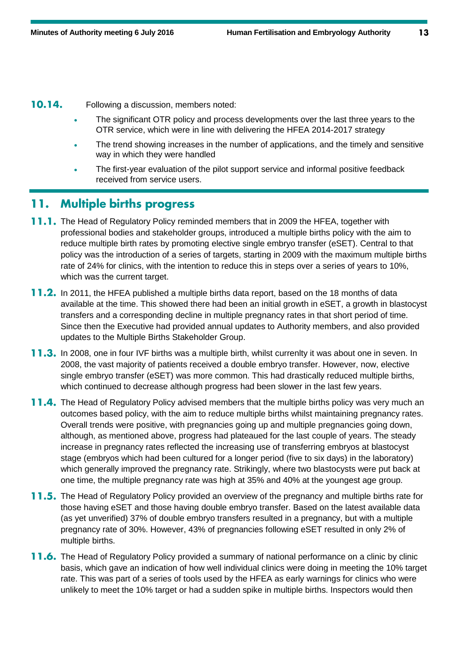10.14. Following a discussion, members noted:

- The significant OTR policy and process developments over the last three years to the OTR service, which were in line with delivering the HFEA 2014-2017 strategy
- The trend showing increases in the number of applications, and the timely and sensitive way in which they were handled
- The first-year evaluation of the pilot support service and informal positive feedback received from service users.

#### **Multiple births progress** 11.

- **11.1.** The Head of Regulatory Policy reminded members that in 2009 the HFEA, together with professional bodies and stakeholder groups, introduced a multiple births policy with the aim to reduce multiple birth rates by promoting elective single embryo transfer (eSET). Central to that policy was the introduction of a series of targets, starting in 2009 with the maximum multiple births rate of 24% for clinics, with the intention to reduce this in steps over a series of years to 10%, which was the current target.
- **11.2.** In 2011, the HFEA published a multiple births data report, based on the 18 months of data available at the time. This showed there had been an initial growth in eSET, a growth in blastocyst transfers and a corresponding decline in multiple pregnancy rates in that short period of time. Since then the Executive had provided annual updates to Authority members, and also provided updates to the Multiple Births Stakeholder Group.
- **11.3.** In 2008, one in four IVF births was a multiple birth, whilst currenlty it was about one in seven. In 2008, the vast majority of patients received a double embryo transfer. However, now, elective single embryo transfer (eSET) was more common. This had drastically reduced multiple births, which continued to decrease although progress had been slower in the last few years.
- **11.4.** The Head of Regulatory Policy advised members that the multiple births policy was very much an outcomes based policy, with the aim to reduce multiple births whilst maintaining pregnancy rates. Overall trends were positive, with pregnancies going up and multiple pregnancies going down, although, as mentioned above, progress had plateaued for the last couple of years. The steady increase in pregnancy rates reflected the increasing use of transferring embryos at blastocyst stage (embryos which had been cultured for a longer period (five to six days) in the laboratory) which generally improved the pregnancy rate. Strikingly, where two blastocysts were put back at one time, the multiple pregnancy rate was high at 35% and 40% at the youngest age group.
- **11.5.** The Head of Regulatory Policy provided an overview of the pregnancy and multiple births rate for those having eSET and those having double embryo transfer. Based on the latest available data (as yet unverified) 37% of double embryo transfers resulted in a pregnancy, but with a multiple pregnancy rate of 30%. However, 43% of pregnancies following eSET resulted in only 2% of multiple births.
- **11.6.** The Head of Regulatory Policy provided a summary of national performance on a clinic by clinic basis, which gave an indication of how well individual clinics were doing in meeting the 10% target rate. This was part of a series of tools used by the HFEA as early warnings for clinics who were unlikely to meet the 10% target or had a sudden spike in multiple births. Inspectors would then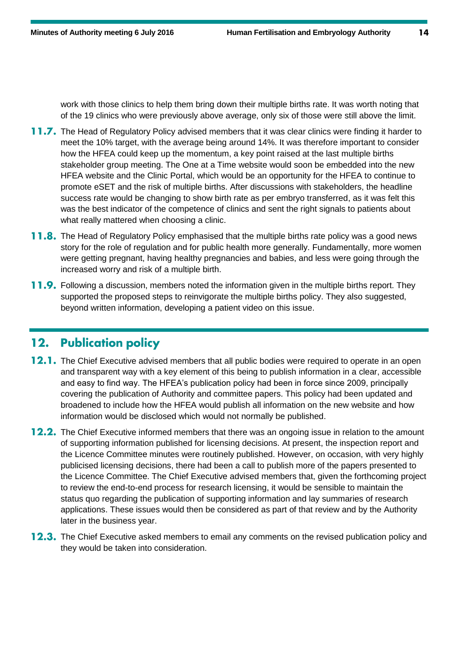work with those clinics to help them bring down their multiple births rate. It was worth noting that of the 19 clinics who were previously above average, only six of those were still above the limit.

- **11.7.** The Head of Regulatory Policy advised members that it was clear clinics were finding it harder to meet the 10% target, with the average being around 14%. It was therefore important to consider how the HFEA could keep up the momentum, a key point raised at the last multiple births stakeholder group meeting. The One at a Time website would soon be embedded into the new HFEA website and the Clinic Portal, which would be an opportunity for the HFEA to continue to promote eSET and the risk of multiple births. After discussions with stakeholders, the headline success rate would be changing to show birth rate as per embryo transferred, as it was felt this was the best indicator of the competence of clinics and sent the right signals to patients about what really mattered when choosing a clinic.
- **11.8.** The Head of Regulatory Policy emphasised that the multiple births rate policy was a good news story for the role of regulation and for public health more generally. Fundamentally, more women were getting pregnant, having healthy pregnancies and babies, and less were going through the increased worry and risk of a multiple birth.
- **11.9.** Following a discussion, members noted the information given in the multiple births report. They supported the proposed steps to reinvigorate the multiple births policy. They also suggested, beyond written information, developing a patient video on this issue.

#### **Publication policy**  $12.$

- **12.1.** The Chief Executive advised members that all public bodies were required to operate in an open and transparent way with a key element of this being to publish information in a clear, accessible and easy to find way. The HFEA's publication policy had been in force since 2009, principally covering the publication of Authority and committee papers. This policy had been updated and broadened to include how the HFEA would publish all information on the new website and how information would be disclosed which would not normally be published.
- **12.2.** The Chief Executive informed members that there was an ongoing issue in relation to the amount of supporting information published for licensing decisions. At present, the inspection report and the Licence Committee minutes were routinely published. However, on occasion, with very highly publicised licensing decisions, there had been a call to publish more of the papers presented to the Licence Committee. The Chief Executive advised members that, given the forthcoming project to review the end-to-end process for research licensing, it would be sensible to maintain the status quo regarding the publication of supporting information and lay summaries of research applications. These issues would then be considered as part of that review and by the Authority later in the business year.
- 12.3. The Chief Executive asked members to email any comments on the revised publication policy and they would be taken into consideration.